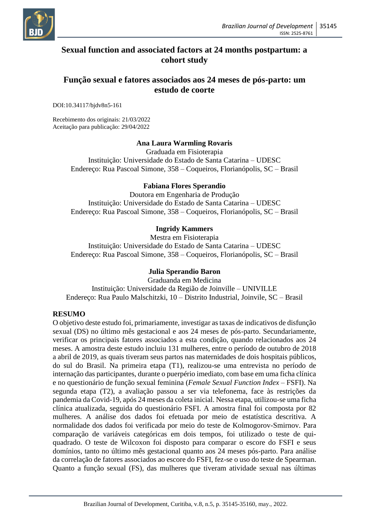

# **Sexual function and associated factors at 24 months postpartum: a cohort study**

# **Função sexual e fatores associados aos 24 meses de pós-parto: um estudo de coorte**

DOI:10.34117/bjdv8n5-161

Recebimento dos originais: 21/03/2022 Aceitação para publicação: 29/04/2022

# **Ana Laura Warmling Rovaris**

Graduada em Fisioterapia Instituição: Universidade do Estado de Santa Catarina – UDESC Endereço: Rua Pascoal Simone, 358 – Coqueiros, Florianópolis, SC – Brasil

#### **Fabiana Flores Sperandio**

Doutora em Engenharia de Produção Instituição: Universidade do Estado de Santa Catarina – UDESC Endereço: Rua Pascoal Simone, 358 – Coqueiros, Florianópolis, SC – Brasil

#### **Ingridy Kammers**

Mestra em Fisioterapia Instituição: Universidade do Estado de Santa Catarina – UDESC Endereço: Rua Pascoal Simone, 358 – Coqueiros, Florianópolis, SC – Brasil

# **Julia Sperandio Baron**

Graduanda em Medicina Instituição: Universidade da Região de Joinville – UNIVILLE Endereço: Rua Paulo Malschitzki, 10 – Distrito Industrial, Joinvile, SC – Brasil

#### **RESUMO**

O objetivo deste estudo foi, primariamente, investigar as taxas de indicativos de disfunção sexual (DS) no último mês gestacional e aos 24 meses de pós-parto. Secundariamente, verificar os principais fatores associados a esta condição, quando relacionados aos 24 meses. A amostra deste estudo incluiu 131 mulheres, entre o período de outubro de 2018 a abril de 2019, as quais tiveram seus partos nas maternidades de dois hospitais públicos, do sul do Brasil. Na primeira etapa (T1), realizou-se uma entrevista no período de internação das participantes, durante o puerpério imediato, com base em uma ficha clínica e no questionário de função sexual feminina (*Female Sexual Function Index* – FSFI). Na segunda etapa (T2), a avaliação passou a ser via telefonema, face às restrições da pandemia da Covid-19, após 24 meses da coleta inicial. Nessa etapa, utilizou-se uma ficha clínica atualizada, seguida do questionário FSFI. A amostra final foi composta por 82 mulheres. A análise dos dados foi efetuada por meio de estatística descritiva. A normalidade dos dados foi verificada por meio do teste de Kolmogorov-Smirnov. Para comparação de variáveis categóricas em dois tempos, foi utilizado o teste de quiquadrado. O teste de Wilcoxon foi disposto para comparar o escore do FSFI e seus domínios, tanto no último mês gestacional quanto aos 24 meses pós-parto. Para análise da correlação de fatores associados ao escore do FSFI, fez-se o uso do teste de Spearman. Quanto a função sexual (FS), das mulheres que tiveram atividade sexual nas últimas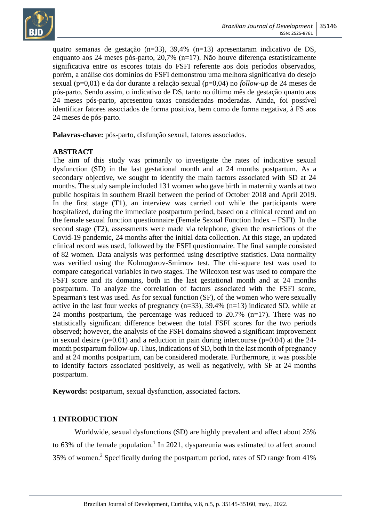

quatro semanas de gestação (n=33), 39,4% (n=13) apresentaram indicativo de DS, enquanto aos 24 meses pós-parto, 20,7% (n=17). Não houve diferença estatisticamente significativa entre os escores totais do FSFI referente aos dois períodos observados, porém, a análise dos domínios do FSFI demonstrou uma melhora significativa do desejo sexual (p=0,01) e da dor durante a relação sexual (p=0,04) no *follow-up* de 24 meses de pós-parto. Sendo assim, o indicativo de DS, tanto no último mês de gestação quanto aos 24 meses pós-parto, apresentou taxas consideradas moderadas. Ainda, foi possível identificar fatores associados de forma positiva, bem como de forma negativa, à FS aos 24 meses de pós-parto.

**Palavras-chave:** pós-parto, disfunção sexual, fatores associados.

# **ABSTRACT**

The aim of this study was primarily to investigate the rates of indicative sexual dysfunction (SD) in the last gestational month and at 24 months postpartum. As a secondary objective, we sought to identify the main factors associated with SD at 24 months. The study sample included 131 women who gave birth in maternity wards at two public hospitals in southern Brazil between the period of October 2018 and April 2019. In the first stage (T1), an interview was carried out while the participants were hospitalized, during the immediate postpartum period, based on a clinical record and on the female sexual function questionnaire (Female Sexual Function Index – FSFI). In the second stage (T2), assessments were made via telephone, given the restrictions of the Covid-19 pandemic, 24 months after the initial data collection. At this stage, an updated clinical record was used, followed by the FSFI questionnaire. The final sample consisted of 82 women. Data analysis was performed using descriptive statistics. Data normality was verified using the Kolmogorov-Smirnov test. The chi-square test was used to compare categorical variables in two stages. The Wilcoxon test was used to compare the FSFI score and its domains, both in the last gestational month and at 24 months postpartum. To analyze the correlation of factors associated with the FSFI score, Spearman's test was used. As for sexual function (SF), of the women who were sexually active in the last four weeks of pregnancy  $(n=33)$ , 39.4%  $(n=13)$  indicated SD, while at 24 months postpartum, the percentage was reduced to 20.7% (n=17). There was no statistically significant difference between the total FSFI scores for the two periods observed; however, the analysis of the FSFI domains showed a significant improvement in sexual desire ( $p=0.01$ ) and a reduction in pain during intercourse ( $p=0.04$ ) at the 24month postpartum follow-up. Thus, indications of SD, both in the last month of pregnancy and at 24 months postpartum, can be considered moderate. Furthermore, it was possible to identify factors associated positively, as well as negatively, with SF at 24 months postpartum.

**Keywords:** postpartum, sexual dysfunction, associated factors.

# **1 INTRODUCTION**

Worldwide, sexual dysfunctions (SD) are highly prevalent and affect about 25% to  $63\%$  of the female population.<sup>1</sup> In 2021, dyspareunia was estimated to affect around 35% of women.<sup>2</sup> Specifically during the postpartum period, rates of SD range from  $41\%$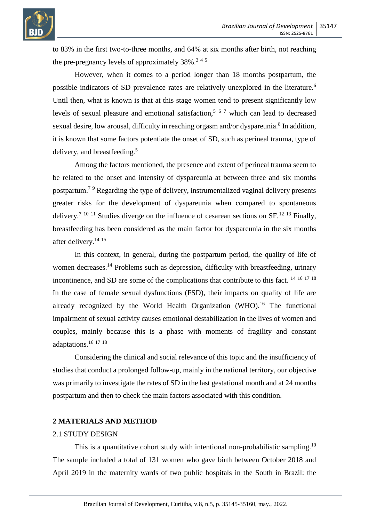

to 83% in the first two-to-three months, and 64% at six months after birth, not reaching the pre-pregnancy levels of approximately  $38\%$ .<sup>345</sup>

However, when it comes to a period longer than 18 months postpartum, the possible indicators of SD prevalence rates are relatively unexplored in the literature.<sup>6</sup> Until then, what is known is that at this stage women tend to present significantly low levels of sexual pleasure and emotional satisfaction,<sup>5 6 7</sup> which can lead to decreased sexual desire, low arousal, difficulty in reaching orgasm and/or dyspareunia.<sup>8</sup> In addition, it is known that some factors potentiate the onset of SD, such as perineal trauma, type of delivery, and breastfeeding.<sup>5</sup>

Among the factors mentioned, the presence and extent of perineal trauma seem to be related to the onset and intensity of dyspareunia at between three and six months postpartum.<sup>7</sup> <sup>9</sup> Regarding the type of delivery, instrumentalized vaginal delivery presents greater risks for the development of dyspareunia when compared to spontaneous delivery.<sup>7 10 11</sup> Studies diverge on the influence of cesarean sections on SF.<sup>12 13</sup> Finally, breastfeeding has been considered as the main factor for dyspareunia in the six months after delivery.<sup>14 15</sup>

In this context, in general, during the postpartum period, the quality of life of women decreases.<sup>14</sup> Problems such as depression, difficulty with breastfeeding, urinary incontinence, and SD are some of the complications that contribute to this fact. <sup>14</sup> <sup>16</sup> <sup>17</sup> <sup>18</sup> In the case of female sexual dysfunctions (FSD), their impacts on quality of life are already recognized by the World Health Organization  $(WHO)$ .<sup>16</sup> The functional impairment of sexual activity causes emotional destabilization in the lives of women and couples, mainly because this is a phase with moments of fragility and constant adaptations.<sup>16</sup> <sup>17</sup> <sup>18</sup>

Considering the clinical and social relevance of this topic and the insufficiency of studies that conduct a prolonged follow-up, mainly in the national territory, our objective was primarily to investigate the rates of SD in the last gestational month and at 24 months postpartum and then to check the main factors associated with this condition.

#### **2 MATERIALS AND METHOD**

#### 2.1 STUDY DESIGN

This is a quantitative cohort study with intentional non-probabilistic sampling.<sup>19</sup> The sample included a total of 131 women who gave birth between October 2018 and April 2019 in the maternity wards of two public hospitals in the South in Brazil: the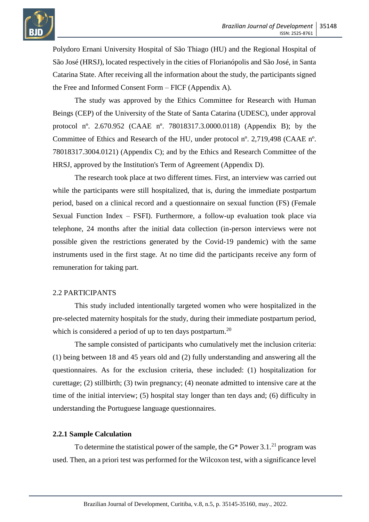

Polydoro Ernani University Hospital of São Thiago (HU) and the Regional Hospital of São José (HRSJ), located respectively in the cities of Florianópolis and São José, in Santa Catarina State. After receiving all the information about the study, the participants signed the Free and Informed Consent Form – FICF (Appendix A).

The study was approved by the Ethics Committee for Research with Human Beings (CEP) of the University of the State of Santa Catarina (UDESC), under approval protocol nº. 2.670.952 (CAAE nº. 78018317.3.0000.0118) (Appendix B); by the Committee of Ethics and Research of the HU, under protocol nº. 2,719,498 (CAAE nº. 78018317.3004.0121) (Appendix C); and by the Ethics and Research Committee of the HRSJ, approved by the Institution's Term of Agreement (Appendix D).

The research took place at two different times. First, an interview was carried out while the participants were still hospitalized, that is, during the immediate postpartum period, based on a clinical record and a questionnaire on sexual function (FS) (Female Sexual Function Index – FSFI). Furthermore, a follow-up evaluation took place via telephone, 24 months after the initial data collection (in-person interviews were not possible given the restrictions generated by the Covid-19 pandemic) with the same instruments used in the first stage. At no time did the participants receive any form of remuneration for taking part.

#### 2.2 PARTICIPANTS

This study included intentionally targeted women who were hospitalized in the pre-selected maternity hospitals for the study, during their immediate postpartum period, which is considered a period of up to ten days postpartum.<sup>20</sup>

The sample consisted of participants who cumulatively met the inclusion criteria: (1) being between 18 and 45 years old and (2) fully understanding and answering all the questionnaires. As for the exclusion criteria, these included: (1) hospitalization for curettage; (2) stillbirth; (3) twin pregnancy; (4) neonate admitted to intensive care at the time of the initial interview; (5) hospital stay longer than ten days and; (6) difficulty in understanding the Portuguese language questionnaires.

# **2.2.1 Sample Calculation**

To determine the statistical power of the sample, the  $G^*$  Power 3.1.<sup>21</sup> program was used. Then, an a priori test was performed for the Wilcoxon test, with a significance level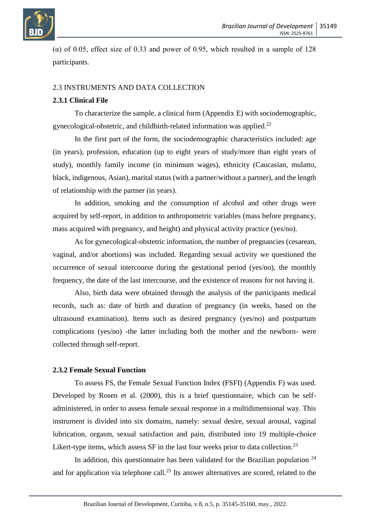

( $\alpha$ ) of 0.05, effect size of 0.33 and power of 0.95, which resulted in a sample of 128 participants.

#### 2.3 INSTRUMENTS AND DATA COLLECTION

#### **2.3.1 Clinical File**

To characterize the sample, a clinical form (Appendix E) with sociodemographic, gynecological-obstetric, and childbirth-related information was applied. $^{22}$ 

In the first part of the form, the sociodemographic characteristics included: age (in years), profession, education (up to eight years of study/more than eight years of study), monthly family income (in minimum wages), ethnicity (Caucasian, mulatto, black, indigenous, Asian), marital status (with a partner/without a partner), and the length of relationship with the partner (in years).

In addition, smoking and the consumption of alcohol and other drugs were acquired by self-report, in addition to anthropometric variables (mass before pregnancy, mass acquired with pregnancy, and height) and physical activity practice (yes/no).

As for gynecological-obstetric information, the number of pregnancies (cesarean, vaginal, and/or abortions) was included. Regarding sexual activity we questioned the occurrence of sexual intercourse during the gestational period (yes/no), the monthly frequency, the date of the last intercourse, and the existence of reasons for not having it.

Also, birth data were obtained through the analysis of the participants medical records, such as: date of birth and duration of pregnancy (in weeks, based on the ultrasound examination). Items such as desired pregnancy (yes/no) and postpartum complications (yes/no) -the latter including both the mother and the newborn- were collected through self-report.

#### **2.3.2 Female Sexual Function**

To assess FS, the Female Sexual Function Index (FSFI) (Appendix F) was used. Developed by Rosen et al. (2000), this is a brief questionnaire, which can be selfadministered, in order to assess female sexual response in a multidimensional way. This instrument is divided into six domains, namely: sexual desire, sexual arousal, vaginal lubrication, orgasm, sexual satisfaction and pain, distributed into 19 multiple-choice Likert-type items, which assess  $SF$  in the last four weeks prior to data collection.<sup>23</sup>

In addition, this questionnaire has been validated for the Brazilian population  $24$ and for application via telephone call.<sup>25</sup> Its answer alternatives are scored, related to the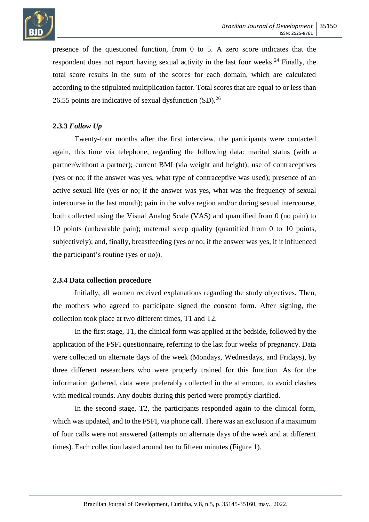

presence of the questioned function, from 0 to 5. A zero score indicates that the respondent does not report having sexual activity in the last four weeks.<sup>24</sup> Finally, the total score results in the sum of the scores for each domain, which are calculated according to the stipulated multiplication factor. Total scores that are equal to or less than 26.55 points are indicative of sexual dysfunction  $(SD)$ <sup>26</sup>

### **2.3.3** *Follow Up*

Twenty-four months after the first interview, the participants were contacted again, this time via telephone, regarding the following data: marital status (with a partner/without a partner); current BMI (via weight and height); use of contraceptives (yes or no; if the answer was yes, what type of contraceptive was used); presence of an active sexual life (yes or no; if the answer was yes, what was the frequency of sexual intercourse in the last month); pain in the vulva region and/or during sexual intercourse, both collected using the Visual Analog Scale (VAS) and quantified from 0 (no pain) to 10 points (unbearable pain); maternal sleep quality (quantified from 0 to 10 points, subjectively); and, finally, breastfeeding (yes or no; if the answer was yes, if it influenced the participant's routine (yes or no)).

#### **2.3.4 Data collection procedure**

Initially, all women received explanations regarding the study objectives. Then, the mothers who agreed to participate signed the consent form. After signing, the collection took place at two different times, T1 and T2.

In the first stage, T1, the clinical form was applied at the bedside, followed by the application of the FSFI questionnaire, referring to the last four weeks of pregnancy. Data were collected on alternate days of the week (Mondays, Wednesdays, and Fridays), by three different researchers who were properly trained for this function. As for the information gathered, data were preferably collected in the afternoon, to avoid clashes with medical rounds. Any doubts during this period were promptly clarified.

In the second stage, T2, the participants responded again to the clinical form, which was updated, and to the FSFI, via phone call. There was an exclusion if a maximum of four calls were not answered (attempts on alternate days of the week and at different times). Each collection lasted around ten to fifteen minutes (Figure 1).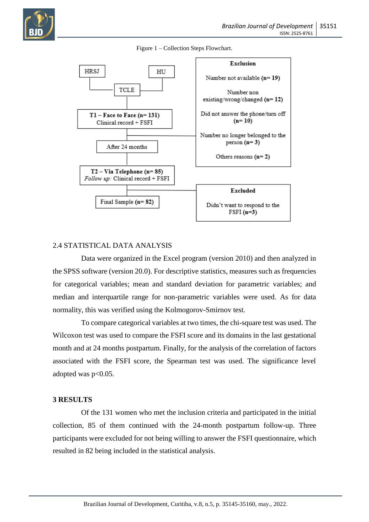

Figure 1 – Collection Steps Flowchart.



#### 2.4 STATISTICAL DATA ANALYSIS

Data were organized in the Excel program (version 2010) and then analyzed in the SPSS software (version 20.0). For descriptive statistics, measures such as frequencies for categorical variables; mean and standard deviation for parametric variables; and median and interquartile range for non-parametric variables were used. As for data normality, this was verified using the Kolmogorov-Smirnov test.

To compare categorical variables at two times, the chi-square test was used. The Wilcoxon test was used to compare the FSFI score and its domains in the last gestational month and at 24 months postpartum. Finally, for the analysis of the correlation of factors associated with the FSFI score, the Spearman test was used. The significance level adopted was p<0.05.

#### **3 RESULTS**

Of the 131 women who met the inclusion criteria and participated in the initial collection, 85 of them continued with the 24-month postpartum follow-up. Three participants were excluded for not being willing to answer the FSFI questionnaire, which resulted in 82 being included in the statistical analysis.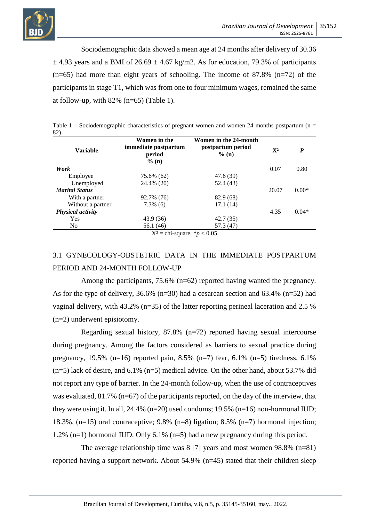

Sociodemographic data showed a mean age at 24 months after delivery of 30.36  $\pm$  4.93 years and a BMI of 26.69  $\pm$  4.67 kg/m2. As for education, 79.3% of participants  $(n=65)$  had more than eight years of schooling. The income of 87.8%  $(n=72)$  of the participants in stage T1, which was from one to four minimum wages, remained the same at follow-up, with  $82\%$  (n=65) (Table 1).

| 82).                     |                                                           |                                                        |                |         |
|--------------------------|-----------------------------------------------------------|--------------------------------------------------------|----------------|---------|
| <b>Variable</b>          | Women in the<br>immediate postpartum<br>period<br>$%$ (n) | Women in the 24-month<br>postpartum period<br>$\%$ (n) | $\mathbf{X}^2$ | P       |
| Work                     |                                                           |                                                        | 0.07           | 0.80    |
| Employee                 | 75.6% (62)                                                | 47.6 (39)                                              |                |         |
| Unemployed               | 24.4% (20)                                                | 52.4 (43)                                              |                |         |
| <b>Marital Status</b>    |                                                           |                                                        | 20.07          | $0.00*$ |
| With a partner           | 92.7% (76)                                                | 82.9 (68)                                              |                |         |
| Without a partner        | $7.3\%$ (6)                                               | 17.1(14)                                               |                |         |
| <b>Physical activity</b> |                                                           |                                                        | 4.35           | $0.04*$ |
| <b>Yes</b>               | 43.9 (36)                                                 | 42.7(35)                                               |                |         |
| N <sub>0</sub>           | 56.1 (46)                                                 | 57.3 (47)                                              |                |         |
|                          | $V2 - \text{abi}$ causes $\frac{1}{2}R \times 0.05$       |                                                        |                |         |

Table 1 – Sociodemographic characteristics of pregnant women and women 24 months postpartum ( $n =$ 

 $X^2 = \text{chi-square.} * p < 0.05.$ 

# 3.1 GYNECOLOGY-OBSTETRIC DATA IN THE IMMEDIATE POSTPARTUM PERIOD AND 24-MONTH FOLLOW-UP

Among the participants, 75.6% (n=62) reported having wanted the pregnancy. As for the type of delivery,  $36.6\%$  (n=30) had a cesarean section and  $63.4\%$  (n=52) had vaginal delivery, with 43.2% (n=35) of the latter reporting perineal laceration and 2.5 % (n=2) underwent episiotomy.

Regarding sexual history, 87.8% (n=72) reported having sexual intercourse during pregnancy. Among the factors considered as barriers to sexual practice during pregnancy, 19.5% (n=16) reported pain, 8.5% (n=7) fear, 6.1% (n=5) tiredness, 6.1%  $(n=5)$  lack of desire, and  $6.1\%$   $(n=5)$  medical advice. On the other hand, about 53.7% did not report any type of barrier. In the 24-month follow-up, when the use of contraceptives was evaluated, 81.7% (n=67) of the participants reported, on the day of the interview, that they were using it. In all,  $24.4\%$  (n=20) used condoms; 19.5% (n=16) non-hormonal IUD; 18.3%, (n=15) oral contraceptive; 9.8% (n=8) ligation; 8.5% (n=7) hormonal injection; 1.2% (n=1) hormonal IUD. Only 6.1% (n=5) had a new pregnancy during this period.

The average relationship time was 8 [7] years and most women 98.8% (n=81) reported having a support network. About 54.9% (n=45) stated that their children sleep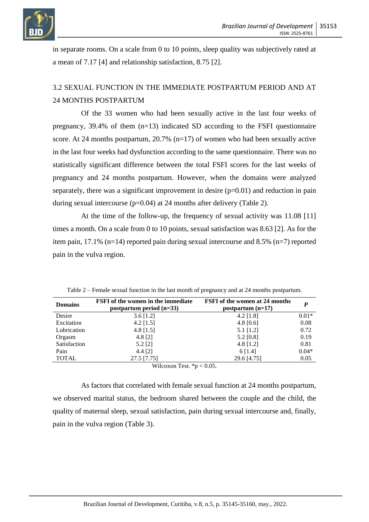

in separate rooms. On a scale from 0 to 10 points, sleep quality was subjectively rated at a mean of 7.17 [4] and relationship satisfaction, 8.75 [2].

# 3.2 SEXUAL FUNCTION IN THE IMMEDIATE POSTPARTUM PERIOD AND AT 24 MONTHS POSTPARTUM

Of the 33 women who had been sexually active in the last four weeks of pregnancy,  $39.4\%$  of them  $(n=13)$  indicated SD according to the FSFI questionnaire score. At 24 months postpartum,  $20.7\%$  (n=17) of women who had been sexually active in the last four weeks had dysfunction according to the same questionnaire. There was no statistically significant difference between the total FSFI scores for the last weeks of pregnancy and 24 months postpartum. However, when the domains were analyzed separately, there was a significant improvement in desire  $(p=0.01)$  and reduction in pain during sexual intercourse  $(p=0.04)$  at 24 months after delivery (Table 2).

At the time of the follow-up, the frequency of sexual activity was 11.08 [11] times a month. On a scale from 0 to 10 points, sexual satisfaction was 8.63 [2]. As for the item pain, 17.1% (n=14) reported pain during sexual intercourse and 8.5% (n=7) reported pain in the vulva region.

| <b>Domains</b> | <b>FSFI</b> of the women in the immediate<br>postpartum period $(n=33)$ | <b>FSFI</b> of the women at 24 months<br>postpartum $(n=17)$ | P       |
|----------------|-------------------------------------------------------------------------|--------------------------------------------------------------|---------|
| Desire         | $3.6$ [1.2]                                                             | $4.2$ [1.8]                                                  | $0.01*$ |
| Excitation     | $4.2$ [1.5]                                                             | 4.8 $[0.6]$                                                  | 0.08    |
| Lubrication    | 4.8 $[1.5]$                                                             | $5.1$ [1.2]                                                  | 0.72    |
| Orgasm         | 4.8 $[2]$                                                               | $5.2$ [0.8]                                                  | 0.19    |
| Satisfaction   | $5.2$ [2]                                                               | 4.8 $[1.2]$                                                  | 0.81    |
| Pain           | $4.4$ [2]                                                               | 6 [1.4]                                                      | $0.04*$ |
| <b>TOTAL</b>   | 27.5 [7.75]                                                             | 29.6 [4.75]                                                  | 0.05    |
|                | $X = Y + 4$                                                             | $\sim$ $\sim$ $\sim$                                         |         |

Table 2 – Female sexual function in the last month of pregnancy and at 24 months postpartum.

Wilcoxon Test.  $*$ p < 0.05.

As factors that correlated with female sexual function at 24 months postpartum, we observed marital status, the bedroom shared between the couple and the child, the quality of maternal sleep, sexual satisfaction, pain during sexual intercourse and, finally, pain in the vulva region (Table 3).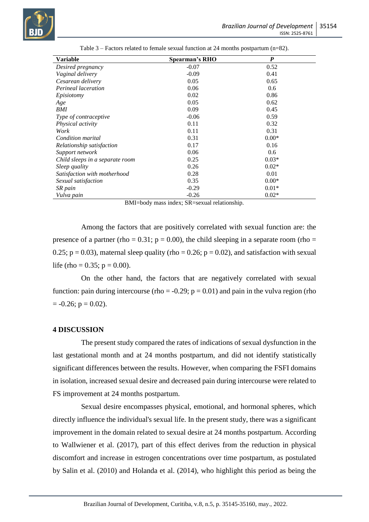

| Variable                        | <b>Spearman's RHO</b> | $\boldsymbol{P}$ |
|---------------------------------|-----------------------|------------------|
| Desired pregnancy               | $-0.07$               | 0.52             |
| Vaginal delivery                | $-0.09$               | 0.41             |
| Cesarean delivery               | 0.05                  | 0.65             |
| Perineal laceration             | 0.06                  | 0.6              |
| Episiotomy                      | 0.02                  | 0.86             |
| Age                             | 0.05                  | 0.62             |
| BMI                             | 0.09                  | 0.45             |
| <i>Type of contraceptive</i>    | $-0.06$               | 0.59             |
| Physical activity               | 0.11                  | 0.32             |
| Work                            | 0.11                  | 0.31             |
| Condition marital               | 0.31                  | $0.00*$          |
| Relationship satisfaction       | 0.17                  | 0.16             |
| Support network                 | 0.06                  | 0.6              |
| Child sleeps in a separate room | 0.25                  | $0.03*$          |
| Sleep quality                   | 0.26                  | $0.02*$          |
| Satisfaction with motherhood    | 0.28                  | 0.01             |
| Sexual satisfaction             | 0.35                  | $0.00*$          |
| SR pain                         | $-0.29$               | $0.01*$          |
| Vulva pain                      | $-0.26$               | $0.02*$          |

| Table 3 – Factors related to female sexual function at 24 months postpartum ( $n=82$ ). |  |  |
|-----------------------------------------------------------------------------------------|--|--|
|-----------------------------------------------------------------------------------------|--|--|

BMI=body mass index; SR=sexual relationship.

Among the factors that are positively correlated with sexual function are: the presence of a partner (rho =  $0.31$ ; p =  $0.00$ ), the child sleeping in a separate room (rho = 0.25;  $p = 0.03$ ), maternal sleep quality (rho = 0.26;  $p = 0.02$ ), and satisfaction with sexual life (rho = 0.35;  $p = 0.00$ ).

On the other hand, the factors that are negatively correlated with sexual function: pain during intercourse (rho =  $-0.29$ ; p = 0.01) and pain in the vulva region (rho  $= -0.26$ ;  $p = 0.02$ ).

#### **4 DISCUSSION**

The present study compared the rates of indications of sexual dysfunction in the last gestational month and at 24 months postpartum, and did not identify statistically significant differences between the results. However, when comparing the FSFI domains in isolation, increased sexual desire and decreased pain during intercourse were related to FS improvement at 24 months postpartum.

Sexual desire encompasses physical, emotional, and hormonal spheres, which directly influence the individual's sexual life. In the present study, there was a significant improvement in the domain related to sexual desire at 24 months postpartum. According to Wallwiener et al. (2017), part of this effect derives from the reduction in physical discomfort and increase in estrogen concentrations over time postpartum, as postulated by Salin et al. (2010) and Holanda et al. (2014), who highlight this period as being the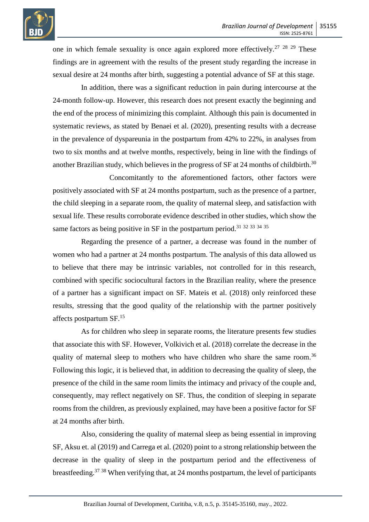

one in which female sexuality is once again explored more effectively.<sup>27</sup> <sup>28</sup> <sup>29</sup> These findings are in agreement with the results of the present study regarding the increase in sexual desire at 24 months after birth, suggesting a potential advance of SF at this stage.

In addition, there was a significant reduction in pain during intercourse at the 24-month follow-up. However, this research does not present exactly the beginning and the end of the process of minimizing this complaint. Although this pain is documented in systematic reviews, as stated by Benaei et al. (2020), presenting results with a decrease in the prevalence of dyspareunia in the postpartum from 42% to 22%, in analyses from two to six months and at twelve months, respectively, being in line with the findings of another Brazilian study, which believes in the progress of SF at 24 months of childbirth.<sup>30</sup>

Concomitantly to the aforementioned factors, other factors were positively associated with SF at 24 months postpartum, such as the presence of a partner, the child sleeping in a separate room, the quality of maternal sleep, and satisfaction with sexual life. These results corroborate evidence described in other studies, which show the same factors as being positive in SF in the postpartum period.<sup>31</sup> <sup>32</sup> <sup>33</sup> <sup>34</sup> <sup>35</sup>

Regarding the presence of a partner, a decrease was found in the number of women who had a partner at 24 months postpartum. The analysis of this data allowed us to believe that there may be intrinsic variables, not controlled for in this research, combined with specific sociocultural factors in the Brazilian reality, where the presence of a partner has a significant impact on SF. Mateis et al. (2018) only reinforced these results, stressing that the good quality of the relationship with the partner positively affects postpartum  $SF<sup>15</sup>$ 

As for children who sleep in separate rooms, the literature presents few studies that associate this with SF. However, Volkivich et al. (2018) correlate the decrease in the quality of maternal sleep to mothers who have children who share the same room.<sup>36</sup> Following this logic, it is believed that, in addition to decreasing the quality of sleep, the presence of the child in the same room limits the intimacy and privacy of the couple and, consequently, may reflect negatively on SF. Thus, the condition of sleeping in separate rooms from the children, as previously explained, may have been a positive factor for SF at 24 months after birth.

Also, considering the quality of maternal sleep as being essential in improving SF, Aksu et. al (2019) and Carrega et al. (2020) point to a strong relationship between the decrease in the quality of sleep in the postpartum period and the effectiveness of breastfeeding.<sup>37</sup> <sup>38</sup> When verifying that, at 24 months postpartum, the level of participants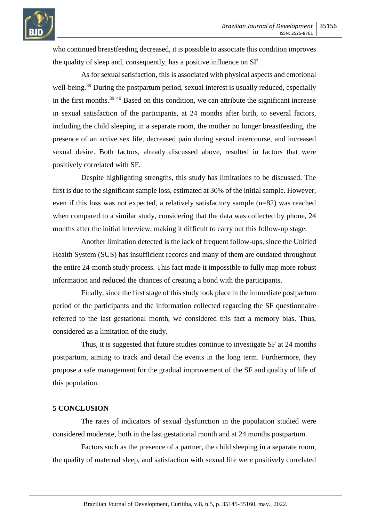

who continued breastfeeding decreased, it is possible to associate this condition improves the quality of sleep and, consequently, has a positive influence on SF.

As for sexual satisfaction, this is associated with physical aspects and emotional well-being.<sup>39</sup> During the postpartum period, sexual interest is usually reduced, especially in the first months.<sup>39 40</sup> Based on this condition, we can attribute the significant increase in sexual satisfaction of the participants, at 24 months after birth, to several factors, including the child sleeping in a separate room, the mother no longer breastfeeding, the presence of an active sex life, decreased pain during sexual intercourse, and increased sexual desire. Both factors, already discussed above, resulted in factors that were positively correlated with SF.

Despite highlighting strengths, this study has limitations to be discussed. The first is due to the significant sample loss, estimated at 30% of the initial sample. However, even if this loss was not expected, a relatively satisfactory sample (n=82) was reached when compared to a similar study, considering that the data was collected by phone, 24 months after the initial interview, making it difficult to carry out this follow-up stage.

Another limitation detected is the lack of frequent follow-ups, since the Unified Health System (SUS) has insufficient records and many of them are outdated throughout the entire 24-month study process. This fact made it impossible to fully map more robust information and reduced the chances of creating a bond with the participants.

Finally, since the first stage of this study took place in the immediate postpartum period of the participants and the information collected regarding the SF questionnaire referred to the last gestational month, we considered this fact a memory bias. Thus, considered as a limitation of the study.

Thus, it is suggested that future studies continue to investigate SF at 24 months postpartum, aiming to track and detail the events in the long term. Furthermore, they propose a safe management for the gradual improvement of the SF and quality of life of this population.

#### **5 CONCLUSION**

The rates of indicators of sexual dysfunction in the population studied were considered moderate, both in the last gestational month and at 24 months postpartum.

Factors such as the presence of a partner, the child sleeping in a separate room, the quality of maternal sleep, and satisfaction with sexual life were positively correlated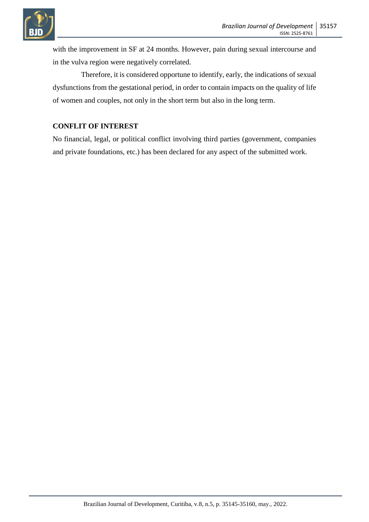



with the improvement in SF at 24 months. However, pain during sexual intercourse and in the vulva region were negatively correlated.

Therefore, it is considered opportune to identify, early, the indications of sexual dysfunctions from the gestational period, in order to contain impacts on the quality of life of women and couples, not only in the short term but also in the long term.

# **CONFLIT OF INTEREST**

No financial, legal, or political conflict involving third parties (government, companies and private foundations, etc.) has been declared for any aspect of the submitted work.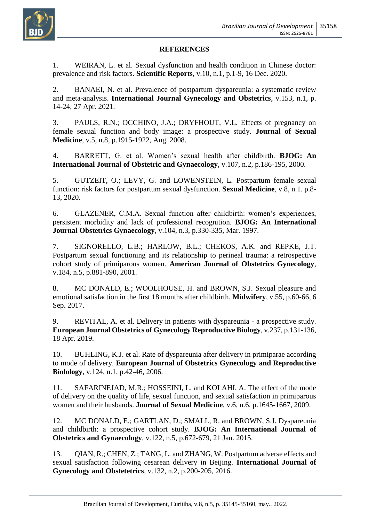

#### **REFERENCES**

1. WEIRAN, L. et al. Sexual dysfunction and health condition in Chinese doctor: prevalence and risk factors. **Scientific Reports**, v.10, n.1, p.1-9, 16 Dec. 2020.

2. BANAEI, N. et al. Prevalence of postpartum dyspareunia: a systematic review and meta-analysis. **International Journal Gynecology and Obstetrics**, v.153, n.1, p. 14-24, 27 Apr. 2021.

3. PAULS, R.N.; OCCHINO, J.A.; DRYFHOUT, V.L. Effects of pregnancy on female sexual function and body image: a prospective study. **Journal of Sexual Medicine**, v.5, n.8, p.1915-1922, Aug. 2008.

4. BARRETT, G. et al. Women's sexual health after childbirth. **BJOG: An International Journal of Obstetric and Gynaecology**, v.107, n.2, p.186-195, 2000.

5. GUTZEIT, O.; LEVY, G. and LOWENSTEIN, L. Postpartum female sexual function: risk factors for postpartum sexual dysfunction. **Sexual Medicine**, v.8, n.1. p.8- 13, 2020.

6. GLAZENER, C.M.A. Sexual function after childbirth: women's experiences, persistent morbidity and lack of professional recognition. **BJOG: An International Journal Obstetrics Gynaecology**, v.104, n.3, p.330-335, Mar. 1997.

7. SIGNORELLO, L.B.; HARLOW, B.L.; CHEKOS, A.K. and REPKE, J.T. Postpartum sexual functioning and its relationship to perineal trauma: a retrospective cohort study of primiparous women. **American Journal of Obstetrics Gynecology**, v.184, n.5, p.881-890, 2001.

8. MC DONALD, E.; WOOLHOUSE, H. and BROWN, S.J. Sexual pleasure and emotional satisfaction in the first 18 months after childbirth. **Midwifery**, v.55, p.60-66, 6 Sep. 2017.

9. REVITAL, A. et al. Delivery in patients with dyspareunia - a prospective study. **European Journal Obstetrics of Gynecology Reproductive Biology**, v.237, p.131-136, 18 Apr. 2019.

10. BUHLING, K.J. et al. Rate of dyspareunia after delivery in primiparae according to mode of delivery. **European Journal of Obstetrics Gynecology and Reproductive Biolology**, v.124, n.1, p.42-46, 2006.

11. SAFARINEJAD, M.R.; HOSSEINI, L. and KOLAHI, A. The effect of the mode of delivery on the quality of life, sexual function, and sexual satisfaction in primiparous women and their husbands. **Journal of Sexual Medicine**, v.6, n.6, p.1645-1667, 2009.

12. MC DONALD, E.; GARTLAN, D.; SMALL, R. and BROWN, S.J. Dyspareunia and childbirth: a prospective cohort study. **BJOG: An International Journal of Obstetrics and Gynaecology**, v.122, n.5, p.672-679, 21 Jan. 2015.

13. QIAN, R.; CHEN, Z.; TANG, L. and ZHANG, W. Postpartum adverse effects and sexual satisfaction following cesarean delivery in Beijing. **International Journal of Gynecology and Obstetetrics**, v.132, n.2, p.200-205, 2016.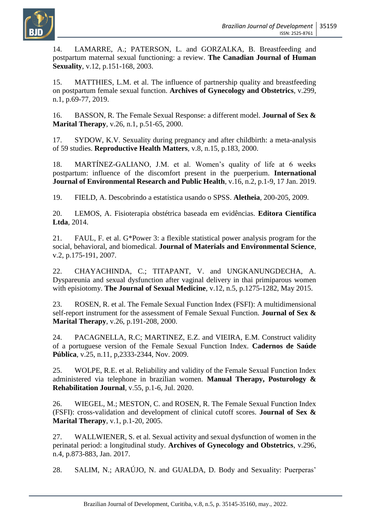

14. LAMARRE, A.; PATERSON, L. and GORZALKA, B. Breastfeeding and postpartum maternal sexual functioning: a review. **The Canadian Journal of Human Sexuality**, v.12, p.151-168, 2003.

15. MATTHIES, L.M. et al. The influence of partnership quality and breastfeeding on postpartum female sexual function. **Archives of Gynecology and Obstetrics**, v.299, n.1, p.69-77, 2019.

16. BASSON, R. The Female Sexual Response: a different model. **Journal of Sex & Marital Therapy**, v.26, n.1, p.51-65, 2000.

17. SYDOW, K.V. Sexuality during pregnancy and after childbirth: a meta-analysis of 59 studies. **Reproductive Health Matters**, v.8, n.15, p.183, 2000.

18. MARTÍNEZ-GALIANO, J.M. et al. Women's quality of life at 6 weeks postpartum: influence of the discomfort present in the puerperium. **International Journal of Environmental Research and Public Health**, v.16, n.2, p.1-9, 17 Jan. 2019.

19. FIELD, A. Descobrindo a estatística usando o SPSS. **Aletheia**, 200-205, 2009.

20. LEMOS, A. Fisioterapia obstétrica baseada em evidências. **Editora Científica Ltda**, 2014.

21. FAUL, F. et al. G\*Power 3: a flexible statistical power analysis program for the social, behavioral, and biomedical. **Journal of Materials and Environmental Science**, v.2, p.175-191, 2007.

22. CHAYACHINDA, C.; TITAPANT, V. and UNGKANUNGDECHA, A. Dyspareunia and sexual dysfunction after vaginal delivery in thai primiparous women with episiotomy. **The Journal of Sexual Medicine**, v.12, n.5, p.1275-1282, May 2015.

23. ROSEN, R. et al. The Female Sexual Function Index (FSFI): A multidimensional self-report instrument for the assessment of Female Sexual Function. **Journal of Sex & Marital Therapy**, v.26, p.191-208, 2000.

24. PACAGNELLA, R.C; MARTINEZ, E.Z. and VIEIRA, E.M. Construct validity of a portuguese version of the Female Sexual Function Index. **Cadernos de Saúde Pública**, v.25, n.11, p,2333-2344, Nov. 2009.

25. WOLPE, R.E. et al. Reliability and validity of the Female Sexual Function Index administered via telephone in brazilian women. **Manual Therapy, Posturology & Rehabilitation Journal**, v.55, p.1-6, Jul. 2020.

26. WIEGEL, M.; MESTON, C. and ROSEN, R. The Female Sexual Function Index (FSFI): cross-validation and development of clinical cutoff scores. **Journal of Sex & Marital Therapy**, v.1, p.1-20, 2005.

27. WALLWIENER, S. et al. Sexual activity and sexual dysfunction of women in the perinatal period: a longitudinal study. **Archives of Gynecology and Obstetrics**, v.296, n.4, p.873-883, Jan. 2017.

28. SALIM, N.; ARAÚJO, N. and GUALDA, D. Body and Sexuality: Puerperas'